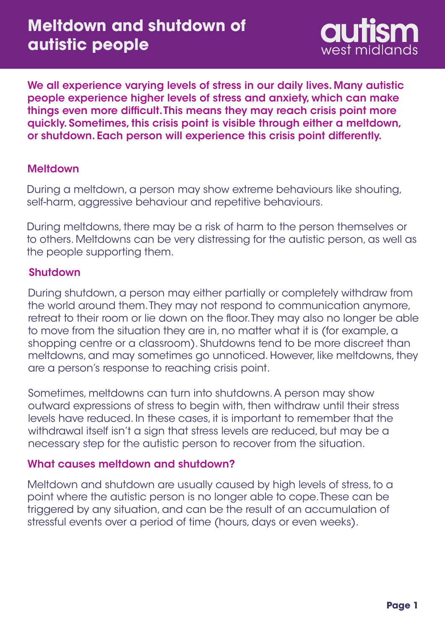

We all experience varying levels of stress in our daily lives. Many autistic people experience higher levels of stress and anxiety, which can make things even more difficult. This means they may reach crisis point more quickly. Sometimes, this crisis point is visible through either a meltdown, or shutdown. Each person will experience this crisis point differently.

# **Meltdown**

During a meltdown, a person may show extreme behaviours like shouting, self-harm, aggressive behaviour and repetitive behaviours.

During meltdowns, there may be a risk of harm to the person themselves or to others. Meltdowns can be very distressing for the autistic person, as well as the people supporting them.

### Shutdown

During shutdown, a person may either partially or completely withdraw from the world around them. They may not respond to communication anymore, retreat to their room or lie down on the floor. They may also no longer be able to move from the situation they are in, no matter what it is (for example, a shopping centre or a classroom). Shutdowns tend to be more discreet than meltdowns, and may sometimes go unnoticed. However, like meltdowns, they are a person's response to reaching crisis point.

Sometimes, meltdowns can turn into shutdowns. A person may show outward expressions of stress to begin with, then withdraw until their stress levels have reduced. In these cases, it is important to remember that the withdrawal itself isn't a sign that stress levels are reduced, but may be a necessary step for the autistic person to recover from the situation.

# What causes meltdown and shutdown?

Meltdown and shutdown are usually caused by high levels of stress, to a point where the autistic person is no longer able to cope. These can be triggered by any situation, and can be the result of an accumulation of stressful events over a period of time (hours, days or even weeks).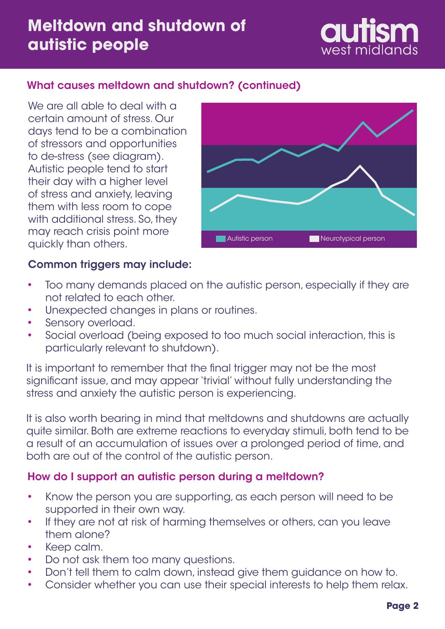# **Meltdown and shutdown of autistic people**



# What causes meltdown and shutdown? (continued)

We are all able to deal with a certain amount of stress. Our days tend to be a combination of stressors and opportunities to de-stress (see diagram). Autistic people tend to start their day with a higher level of stress and anxiety, leaving them with less room to cope with additional stress. So, they may reach crisis point more quickly than others.



#### Common triggers may include:

- Too many demands placed on the autistic person, especially if they are not related to each other. •
- Unexpected changes in plans or routines. •
- Sensory overload. •
- Social overload (being exposed to too much social interaction, this is particularly relevant to shutdown). •

It is important to remember that the final trigger may not be the most significant issue, and may appear 'trivial' without fully understanding the stress and anxiety the autistic person is experiencing.

It is also worth bearing in mind that meltdowns and shutdowns are actually quite similar. Both are extreme reactions to everyday stimuli, both tend to be a result of an accumulation of issues over a prolonged period of time, and both are out of the control of the autistic person.

#### How do I support an autistic person during a meltdown?

- Know the person you are supporting, as each person will need to be supported in their own way. •
- If they are not at risk of harming themselves or others, can you leave them alone? •
- Keep calm. •
- Do not ask them too many questions. •
- Don't tell them to calm down, instead give them guidance on how to. •
- Consider whether you can use their special interests to help them relax. •